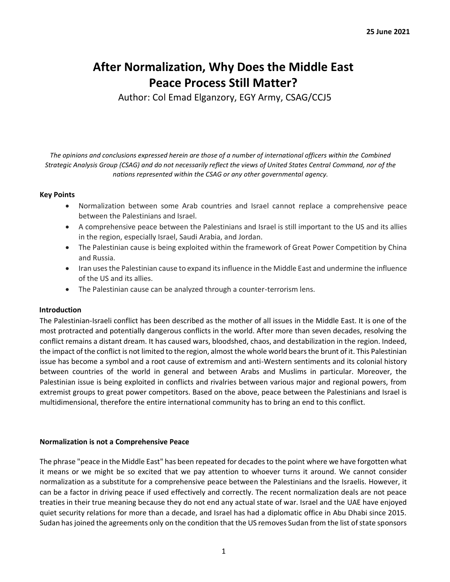# **After Normalization, Why Does the Middle East Peace Process Still Matter?**

Author: Col Emad Elganzory, EGY Army, CSAG/CCJ5

*The opinions and conclusions expressed herein are those of a number of international officers within the Combined Strategic Analysis Group (CSAG) and do not necessarily reflect the views of United States Central Command, nor of the nations represented within the CSAG or any other governmental agency.*

# **Key Points**

- Normalization between some Arab countries and Israel cannot replace a comprehensive peace between the Palestinians and Israel.
- A comprehensive peace between the Palestinians and Israel is still important to the US and its allies in the region, especially Israel, Saudi Arabia, and Jordan.
- The Palestinian cause is being exploited within the framework of Great Power Competition by China and Russia.
- Iran uses the Palestinian cause to expand its influence in the Middle East and undermine the influence of the US and its allies.
- The Palestinian cause can be analyzed through a counter-terrorism lens.

#### **Introduction**

The Palestinian-Israeli conflict has been described as the mother of all issues in the Middle East. It is one of the most protracted and potentially dangerous conflicts in the world. After more than seven decades, resolving the conflict remains a distant dream. It has caused wars, bloodshed, chaos, and destabilization in the region. Indeed, the impact of the conflict is not limited to the region, almost the whole world bears the brunt of it. This Palestinian issue has become a symbol and a root cause of extremism and anti-Western sentiments and its colonial history between countries of the world in general and between Arabs and Muslims in particular. Moreover, the Palestinian issue is being exploited in conflicts and rivalries between various major and regional powers, from extremist groups to great power competitors. Based on the above, peace between the Palestinians and Israel is multidimensional, therefore the entire international community has to bring an end to this conflict.

#### **Normalization is not a Comprehensive Peace**

The phrase "peace in the Middle East" has been repeated for decades to the point where we have forgotten what it means or we might be so excited that we pay attention to whoever turns it around. We cannot consider normalization as a substitute for a comprehensive peace between the Palestinians and the Israelis. However, it can be a factor in driving peace if used effectively and correctly. The recent normalization deals are not peace treaties in their true meaning because they do not end any actual state of war. Israel and the UAE have enjoyed quiet security relations for more than a decade, and Israel has had a diplomatic office in Abu Dhabi since 2015. Sudan has joined the agreements only on the condition that the US removes Sudan from the list of state sponsors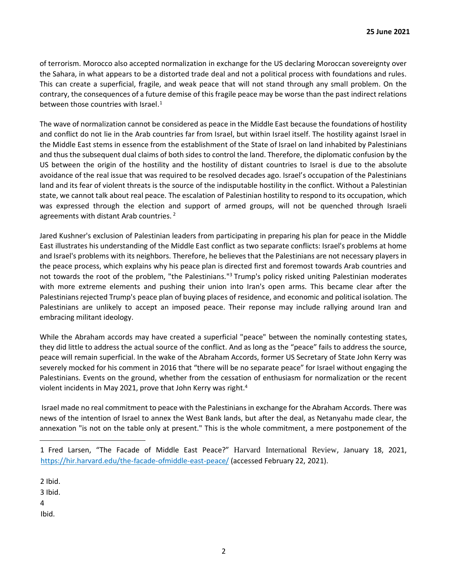of terrorism. Morocco also accepted normalization in exchange for the US declaring Moroccan sovereignty over the Sahara, in what appears to be a distorted trade deal and not a political process with foundations and rules. This can create a superficial, fragile, and weak peace that will not stand through any small problem. On the contrary, the consequences of a future demise of this fragile peace may be worse than the past indirect relations between those countries with Israel. $<sup>1</sup>$ </sup>

The wave of normalization cannot be considered as peace in the Middle East because the foundations of hostility and conflict do not lie in the Arab countries far from Israel, but within Israel itself. The hostility against Israel in the Middle East stems in essence from the establishment of the State of Israel on land inhabited by Palestinians and thus the subsequent dual claims of both sides to control the land. Therefore, the diplomatic confusion by the US between the origin of the hostility and the hostility of distant countries to Israel is due to the absolute avoidance of the real issue that was required to be resolved decades ago. Israel's occupation of the Palestinians land and its fear of violent threats is the source of the indisputable hostility in the conflict. Without a Palestinian state, we cannot talk about real peace. The escalation of Palestinian hostility to respond to its occupation, which was expressed through the election and support of armed groups, will not be quenched through Israeli agreements with distant Arab countries. <sup>2</sup>

Jared Kushner's exclusion of Palestinian leaders from participating in preparing his plan for peace in the Middle East illustrates his understanding of the Middle East conflict as two separate conflicts: Israel's problems at home and Israel's problems with its neighbors. Therefore, he believes that the Palestinians are not necessary players in the peace process, which explains why his peace plan is directed first and foremost towards Arab countries and not towards the root of the problem, "the Palestinians."<sup>3</sup> Trump's policy risked uniting Palestinian moderates with more extreme elements and pushing their union into Iran's open arms. This became clear after the Palestinians rejected Trump's peace plan of buying places of residence, and economic and political isolation. The Palestinians are unlikely to accept an imposed peace. Their reponse may include rallying around Iran and embracing militant ideology.

While the Abraham accords may have created a superficial "peace" between the nominally contesting states, they did little to address the actual source of the conflict. And as long as the "peace" fails to address the source, peace will remain superficial. In the wake of the Abraham Accords, former US Secretary of State John Kerry was severely mocked for his comment in 2016 that "there will be no separate peace" for Israel without engaging the Palestinians. Events on the ground, whether from the cessation of enthusiasm for normalization or the recent violent incidents in May 2021, prove that John Kerry was right.<sup>4</sup>

Israel made no real commitment to peace with the Palestinians in exchange for the Abraham Accords. There was news of the intention of Israel to annex the West Bank lands, but after the deal, as Netanyahu made clear, the annexation "is not on the table only at present." This is the whole commitment, a mere postponement of the

2 Ibid.

3 Ibid.

4

Ibid.

<sup>1</sup> Fred Larsen, "The Facade of Middle East Peace?" Harvard International Review, January 18, 2021, https://hir.harvard.edu/the-facade-ofmiddle-east-peace/ (accessed February 22, 2021).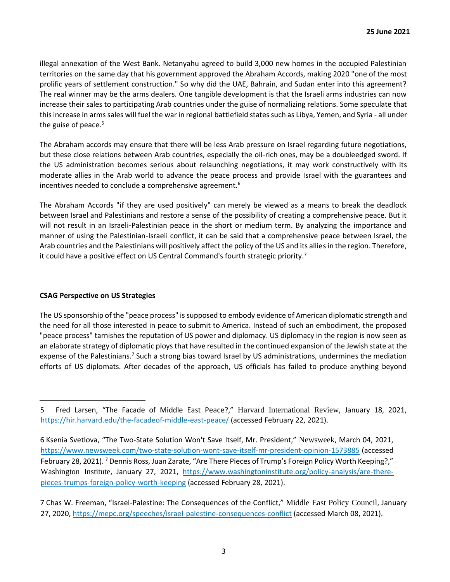illegal annexation of the West Bank. Netanyahu agreed to build 3,000 new homes in the occupied Palestinian territories on the same day that his government approved the Abraham Accords, making 2020 "one of the most prolific years of settlement construction." So why did the UAE, Bahrain, and Sudan enter into this agreement? The real winner may be the arms dealers. One tangible development is that the Israeli arms industries can now increase their sales to participating Arab countries under the guise of normalizing relations. Some speculate that this increase in arms sales will fuel the war in regional battlefield states such as Libya, Yemen, and Syria - all under the guise of peace.<sup>5</sup>

The Abraham accords may ensure that there will be less Arab pressure on Israel regarding future negotiations, but these close relations between Arab countries, especially the oil-rich ones, may be a doubleedged sword. If the US administration becomes serious about relaunching negotiations, it may work constructively with its moderate allies in the Arab world to advance the peace process and provide Israel with the guarantees and incentives needed to conclude a comprehensive agreement.<sup>6</sup>

The Abraham Accords "if they are used positively" can merely be viewed as a means to break the deadlock between Israel and Palestinians and restore a sense of the possibility of creating a comprehensive peace. But it will not result in an Israeli-Palestinian peace in the short or medium term. By analyzing the importance and manner of using the Palestinian-Israeli conflict, it can be said that a comprehensive peace between Israel, the Arab countries and the Palestinians will positively affect the policy of the US and its allies in the region. Therefore, it could have a positive effect on US Central Command's fourth strategic priority.<sup>7</sup>

# **CSAG Perspective on US Strategies**

The US sponsorship of the "peace process" is supposed to embody evidence of American diplomatic strength and the need for all those interested in peace to submit to America. Instead of such an embodiment, the proposed "peace process" tarnishes the reputation of US power and diplomacy. US diplomacy in the region is now seen as an elaborate strategy of diplomatic ploys that have resulted in the continued expansion of the Jewish state at the expense of the Palestinians.<sup>7</sup> Such a strong bias toward Israel by US administrations, undermines the mediation efforts of US diplomats. After decades of the approach, US officials has failed to produce anything beyond

<sup>5</sup> Fred Larsen, "The Facade of Middle East Peace?," Harvard International Review, January 18, 2021, https://hir.harvard.edu/the-facadeof-middle-east-peace/ (accessed February 22, 2021).

<sup>6</sup> Ksenia Svetlova, "The Two-State Solution Won't Save Itself, Mr. President," Newsweek, March 04, 2021, https://www.newsweek.com/two-state-solution-wont-save-itself-mr-president-opinion-1573885 (accessed February 28, 2021). <sup>7</sup> Dennis Ross, Juan Zarate, "Are There Pieces of Trump's Foreign Policy Worth Keeping?," Washington Institute, January 27, 2021, https://www.washingtoninstitute.org/policy-analysis/are-therepieces-trumps-foreign-policy-worth-keeping (accessed February 28, 2021).

<sup>7</sup> Chas W. Freeman, "Israel-Palestine: The Consequences of the Conflict," Middle East Policy Council, January 27, 2020, https://mepc.org/speeches/israel-palestine-consequences-conflict (accessed March 08, 2021).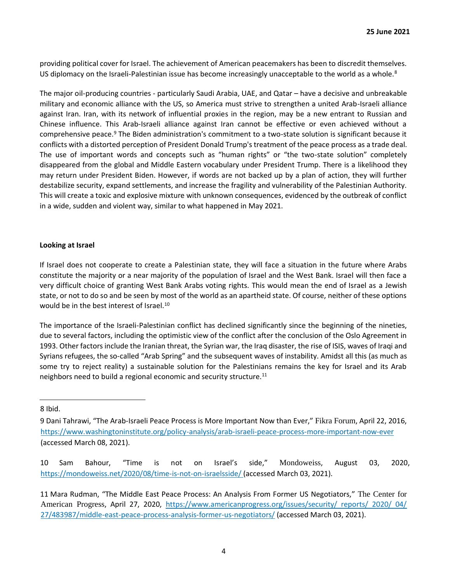providing political cover for Israel. The achievement of American peacemakers has been to discredit themselves. US diplomacy on the Israeli-Palestinian issue has become increasingly unacceptable to the world as a whole. $8$ 

The major oil-producing countries - particularly Saudi Arabia, UAE, and Qatar – have a decisive and unbreakable military and economic alliance with the US, so America must strive to strengthen a united Arab-Israeli alliance against Iran. Iran, with its network of influential proxies in the region, may be a new entrant to Russian and Chinese influence. This Arab-Israeli alliance against Iran cannot be effective or even achieved without a comprehensive peace.<sup>9</sup> The Biden administration's commitment to a two-state solution is significant because it conflicts with a distorted perception of President Donald Trump's treatment of the peace process as a trade deal. The use of important words and concepts such as "human rights" or "the two-state solution" completely disappeared from the global and Middle Eastern vocabulary under President Trump. There is a likelihood they may return under President Biden. However, if words are not backed up by a plan of action, they will further destabilize security, expand settlements, and increase the fragility and vulnerability of the Palestinian Authority. This will create a toxic and explosive mixture with unknown consequences, evidenced by the outbreak of conflict in a wide, sudden and violent way, similar to what happened in May 2021.

# **Looking at Israel**

If Israel does not cooperate to create a Palestinian state, they will face a situation in the future where Arabs constitute the majority or a near majority of the population of Israel and the West Bank. Israel will then face a very difficult choice of granting West Bank Arabs voting rights. This would mean the end of Israel as a Jewish state, or not to do so and be seen by most of the world as an apartheid state. Of course, neither of these options would be in the best interest of Israel.<sup>10</sup>

The importance of the Israeli-Palestinian conflict has declined significantly since the beginning of the nineties, due to several factors, including the optimistic view of the conflict after the conclusion of the Oslo Agreement in 1993. Other factors include the Iranian threat, the Syrian war, the Iraq disaster, the rise of ISIS, waves of Iraqi and Syrians refugees, the so-called "Arab Spring" and the subsequent waves of instability. Amidst all this (as much as some try to reject reality) a sustainable solution for the Palestinians remains the key for Israel and its Arab neighbors need to build a regional economic and security structure.<sup>11</sup>

# 8 Ibid.

10 Sam Bahour, "Time is not on Israel's side," Mondoweiss, August 03, 2020, https://mondoweiss.net/2020/08/time-is-not-on-israelsside/ (accessed March 03, 2021).

<sup>9</sup> Dani Tahrawi, "The Arab-Israeli Peace Process is More Important Now than Ever," Fikra Forum, April 22, 2016, https://www.washingtoninstitute.org/policy-analysis/arab-israeli-peace-process-more-important-now-ever (accessed March 08, 2021).

<sup>11</sup> Mara Rudman, "The Middle East Peace Process: An Analysis From Former US Negotiators," The Center for American Progress, April 27, 2020, https://www.americanprogress.org/issues/security/ reports/ 2020/ 04/ 27/483987/middle-east-peace-process-analysis-former-us-negotiators/ (accessed March 03, 2021).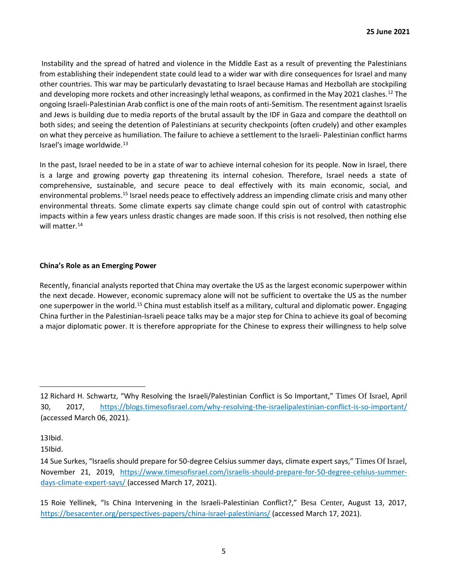Instability and the spread of hatred and violence in the Middle East as a result of preventing the Palestinians from establishing their independent state could lead to a wider war with dire consequences for Israel and many other countries. This war may be particularly devastating to Israel because Hamas and Hezbollah are stockpiling and developing more rockets and other increasingly lethal weapons, as confirmed in the May 2021 clashes.<sup>12</sup> The ongoing Israeli-Palestinian Arab conflict is one of the main roots of anti-Semitism. The resentment against Israelis and Jews is building due to media reports of the brutal assault by the IDF in Gaza and compare the deathtoll on both sides; and seeing the detention of Palestinians at security checkpoints (often crudely) and other examples on what they perceive as humiliation. The failure to achieve a settlement to the Israeli- Palestinian conflict harms Israel's image worldwide.<sup>13</sup>

In the past, Israel needed to be in a state of war to achieve internal cohesion for its people. Now in Israel, there is a large and growing poverty gap threatening its internal cohesion. Therefore, Israel needs a state of comprehensive, sustainable, and secure peace to deal effectively with its main economic, social, and environmental problems.<sup>15</sup> Israel needs peace to effectively address an impending climate crisis and many other environmental threats. Some climate experts say climate change could spin out of control with catastrophic impacts within a few years unless drastic changes are made soon. If this crisis is not resolved, then nothing else will matter.<sup>14</sup>

# **China's Role as an Emerging Power**

Recently, financial analysts reported that China may overtake the US as the largest economic superpower within the next decade. However, economic supremacy alone will not be sufficient to overtake the US as the number one superpower in the world.<sup>15</sup> China must establish itself as a military, cultural and diplomatic power. Engaging China further in the Palestinian-Israeli peace talks may be a major step for China to achieve its goal of becoming a major diplomatic power. It is therefore appropriate for the Chinese to express their willingness to help solve

<sup>12</sup> Richard H. Schwartz, "Why Resolving the Israeli/Palestinian Conflict is So Important," Times Of Israel, April 30, 2017, https://blogs.timesofisrael.com/why-resolving-the-israelipalestinian-conflict-is-so-important/ (accessed March 06, 2021).

<sup>13</sup>Ibid.

<sup>15</sup>Ibid.

<sup>14</sup> Sue Surkes, "Israelis should prepare for 50-degree Celsius summer days, climate expert says," Times Of Israel, November 21, 2019, https://www.timesofisrael.com/israelis-should-prepare-for-50-degree-celsius-summerdays-climate-expert-says/ (accessed March 17, 2021).

<sup>15</sup> Roie Yellinek, "Is China Intervening in the Israeli-Palestinian Conflict?," Besa Center, August 13, 2017, https://besacenter.org/perspectives-papers/china-israel-palestinians/ (accessed March 17, 2021).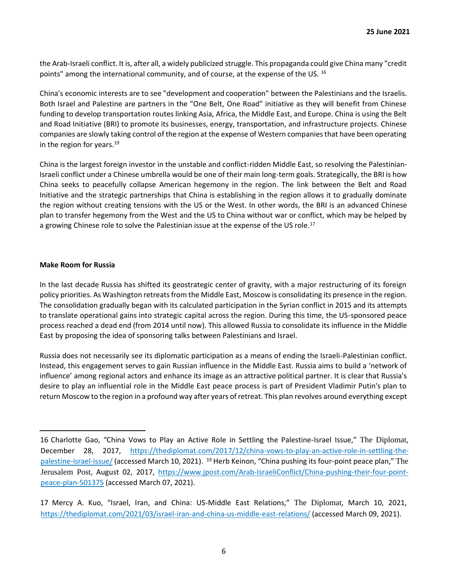the Arab-Israeli conflict. It is, after all, a widely publicized struggle. This propaganda could give China many "credit points" among the international community, and of course, at the expense of the US. <sup>16</sup>

China's economic interests are to see "development and cooperation" between the Palestinians and the Israelis. Both Israel and Palestine are partners in the "One Belt, One Road" initiative as they will benefit from Chinese funding to develop transportation routes linking Asia, Africa, the Middle East, and Europe. China is using the Belt and Road Initiative (BRI) to promote its businesses, energy, transportation, and infrastructure projects. Chinese companies are slowly taking control of the region at the expense of Western companies that have been operating in the region for years. $19$ 

China is the largest foreign investor in the unstable and conflict-ridden Middle East, so resolving the Palestinian-Israeli conflict under a Chinese umbrella would be one of their main long-term goals. Strategically, the BRI is how China seeks to peacefully collapse American hegemony in the region. The link between the Belt and Road Initiative and the strategic partnerships that China is establishing in the region allows it to gradually dominate the region without creating tensions with the US or the West. In other words, the BRI is an advanced Chinese plan to transfer hegemony from the West and the US to China without war or conflict, which may be helped by a growing Chinese role to solve the Palestinian issue at the expense of the US role.<sup>17</sup>

#### **Make Room for Russia**

In the last decade Russia has shifted its geostrategic center of gravity, with a major restructuring of its foreign policy priorities. As Washington retreats from the Middle East, Moscow is consolidating its presence in the region. The consolidation gradually began with its calculated participation in the Syrian conflict in 2015 and its attempts to translate operational gains into strategic capital across the region. During this time, the US-sponsored peace process reached a dead end (from 2014 until now). This allowed Russia to consolidate its influence in the Middle East by proposing the idea of sponsoring talks between Palestinians and Israel.

Russia does not necessarily see its diplomatic participation as a means of ending the Israeli-Palestinian conflict. Instead, this engagement serves to gain Russian influence in the Middle East. Russia aims to build a 'network of influence' among regional actors and enhance its image as an attractive political partner. It is clear that Russia's desire to play an influential role in the Middle East peace process is part of President Vladimir Putin's plan to return Moscow to the region in a profound way after years of retreat. This plan revolves around everything except

<sup>16</sup> Charlotte Gao, "China Vows to Play an Active Role in Settling the Palestine-Israel Issue," The Diplomat, December 28, 2017, https://thediplomat.com/2017/12/china-vows-to-play-an-active-role-in-settling-thepalestine-israel-issue/ (accessed March 10, 2021). <sup>19</sup> Herb Keinon, "China pushing its four-point peace plan," The Jerusalem Post, August 02, 2017, https://www.jpost.com/Arab-IsraeliConflict/China-pushing-their-four-pointpeace-plan-501375 (accessed March 07, 2021).

<sup>17</sup> Mercy A. Kuo, "Israel, Iran, and China: US-Middle East Relations," The Diplomat, March 10, 2021, https://thediplomat.com/2021/03/israel-iran-and-china-us-middle-east-relations/ (accessed March 09, 2021).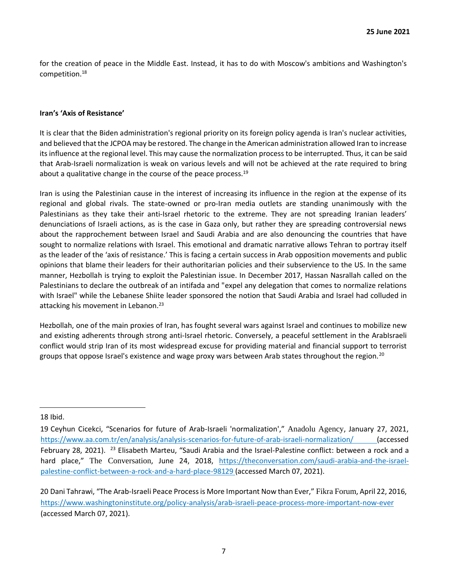for the creation of peace in the Middle East. Instead, it has to do with Moscow's ambitions and Washington's competition.<sup>18</sup>

#### **Iran's 'Axis of Resistance'**

It is clear that the Biden administration's regional priority on its foreign policy agenda is Iran's nuclear activities, and believed that the JCPOA may be restored. The change in the American administration allowed Iran to increase its influence at the regional level. This may cause the normalization process to be interrupted. Thus, it can be said that Arab-Israeli normalization is weak on various levels and will not be achieved at the rate required to bring about a qualitative change in the course of the peace process.<sup>19</sup>

Iran is using the Palestinian cause in the interest of increasing its influence in the region at the expense of its regional and global rivals. The state-owned or pro-Iran media outlets are standing unanimously with the Palestinians as they take their anti-Israel rhetoric to the extreme. They are not spreading Iranian leaders' denunciations of Israeli actions, as is the case in Gaza only, but rather they are spreading controversial news about the rapprochement between Israel and Saudi Arabia and are also denouncing the countries that have sought to normalize relations with Israel. This emotional and dramatic narrative allows Tehran to portray itself as the leader of the 'axis of resistance.' This is facing a certain success in Arab opposition movements and public opinions that blame their leaders for their authoritarian policies and their subservience to the US. In the same manner, Hezbollah is trying to exploit the Palestinian issue. In December 2017, Hassan Nasrallah called on the Palestinians to declare the outbreak of an intifada and "expel any delegation that comes to normalize relations with Israel" while the Lebanese Shiite leader sponsored the notion that Saudi Arabia and Israel had colluded in attacking his movement in Lebanon.<sup>23</sup>

Hezbollah, one of the main proxies of Iran, has fought several wars against Israel and continues to mobilize new and existing adherents through strong anti-Israel rhetoric. Conversely, a peaceful settlement in the ArabIsraeli conflict would strip Iran of its most widespread excuse for providing material and financial support to terrorist groups that oppose Israel's existence and wage proxy wars between Arab states throughout the region.<sup>20</sup>

<sup>18</sup> Ibid.

<sup>19</sup> Ceyhun Cicekci, "Scenarios for future of Arab-Israeli 'normalization'," Anadolu Agency, January 27, 2021, https://www.aa.com.tr/en/analysis/analysis-scenarios-for-future-of-arab-israeli-normalization/ (accessed February 28, 2021). <sup>23</sup> Elisabeth Marteu, "Saudi Arabia and the Israel-Palestine conflict: between a rock and a hard place," The Conversation, June 24, 2018, https://theconversation.com/saudi-arabia-and-the-israelpalestine-conflict-between-a-rock-and-a-hard-place-98129 (accessed March 07, 2021).

<sup>20</sup> Dani Tahrawi, "The Arab-Israeli Peace Process is More Important Now than Ever," Fikra Forum, April 22, 2016, https://www.washingtoninstitute.org/policy-analysis/arab-israeli-peace-process-more-important-now-ever (accessed March 07, 2021).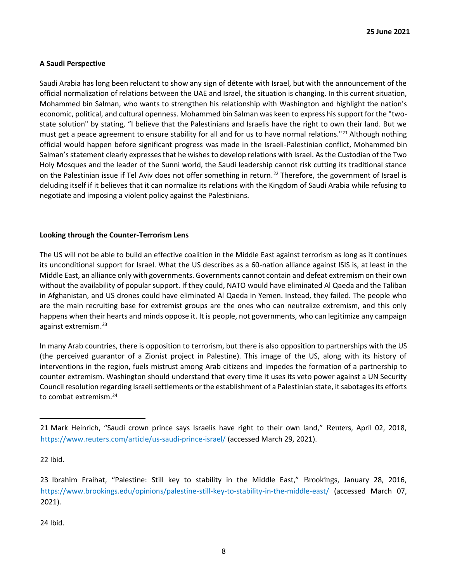# **A Saudi Perspective**

Saudi Arabia has long been reluctant to show any sign of détente with Israel, but with the announcement of the official normalization of relations between the UAE and Israel, the situation is changing. In this current situation, Mohammed bin Salman, who wants to strengthen his relationship with Washington and highlight the nation's economic, political, and cultural openness. Mohammed bin Salman was keen to express his support for the "twostate solution" by stating, "I believe that the Palestinians and Israelis have the right to own their land. But we must get a peace agreement to ensure stability for all and for us to have normal relations."<sup>21</sup> Although nothing official would happen before significant progress was made in the Israeli-Palestinian conflict, Mohammed bin Salman's statement clearly expresses that he wishes to develop relations with Israel. As the Custodian of the Two Holy Mosques and the leader of the Sunni world, the Saudi leadership cannot risk cutting its traditional stance on the Palestinian issue if Tel Aviv does not offer something in return.<sup>22</sup> Therefore, the government of Israel is deluding itself if it believes that it can normalize its relations with the Kingdom of Saudi Arabia while refusing to negotiate and imposing a violent policy against the Palestinians.

#### **Looking through the Counter-Terrorism Lens**

The US will not be able to build an effective coalition in the Middle East against terrorism as long as it continues its unconditional support for Israel. What the US describes as a 60-nation alliance against ISIS is, at least in the Middle East, an alliance only with governments. Governments cannot contain and defeat extremism on their own without the availability of popular support. If they could, NATO would have eliminated Al Qaeda and the Taliban in Afghanistan, and US drones could have eliminated Al Qaeda in Yemen. Instead, they failed. The people who are the main recruiting base for extremist groups are the ones who can neutralize extremism, and this only happens when their hearts and minds oppose it. It is people, not governments, who can legitimize any campaign against extremism.<sup>23</sup>

In many Arab countries, there is opposition to terrorism, but there is also opposition to partnerships with the US (the perceived guarantor of a Zionist project in Palestine). This image of the US, along with its history of interventions in the region, fuels mistrust among Arab citizens and impedes the formation of a partnership to counter extremism. Washington should understand that every time it uses its veto power against a UN Security Council resolution regarding Israeli settlements or the establishment of a Palestinian state, it sabotages its efforts to combat extremism.<sup>24</sup>

24 Ibid.

<sup>21</sup> Mark Heinrich, "Saudi crown prince says Israelis have right to their own land," Reuters, April 02, 2018, https://www.reuters.com/article/us-saudi-prince-israel/ (accessed March 29, 2021).

<sup>22</sup> Ibid.

<sup>23</sup> Ibrahim Fraihat, "Palestine: Still key to stability in the Middle East," Brookings, January 28, 2016, https://www.brookings.edu/opinions/palestine-still-key-to-stability-in-the-middle-east/ (accessed March 07, 2021).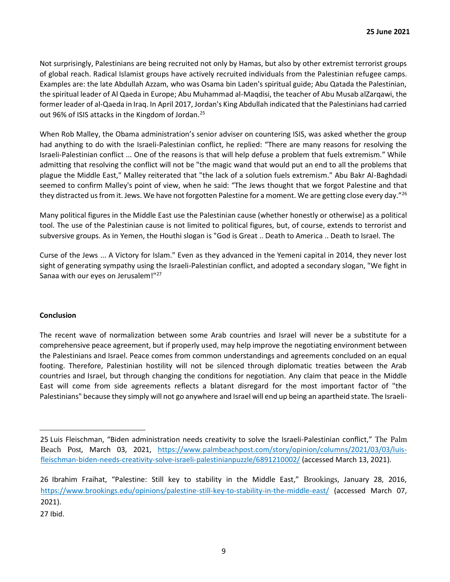Not surprisingly, Palestinians are being recruited not only by Hamas, but also by other extremist terrorist groups of global reach. Radical Islamist groups have actively recruited individuals from the Palestinian refugee camps. Examples are: the late Abdullah Azzam, who was Osama bin Laden's spiritual guide; Abu Qatada the Palestinian, the spiritual leader of Al Qaeda in Europe; Abu Muhammad al-Maqdisi, the teacher of Abu Musab alZarqawi, the former leader of al-Qaeda in Iraq. In April 2017, Jordan's King Abdullah indicated that the Palestinians had carried out 96% of ISIS attacks in the Kingdom of Jordan.<sup>25</sup>

When Rob Malley, the Obama administration's senior adviser on countering ISIS, was asked whether the group had anything to do with the Israeli-Palestinian conflict, he replied: "There are many reasons for resolving the Israeli-Palestinian conflict ... One of the reasons is that will help defuse a problem that fuels extremism." While admitting that resolving the conflict will not be "the magic wand that would put an end to all the problems that plague the Middle East," Malley reiterated that "the lack of a solution fuels extremism." Abu Bakr Al-Baghdadi seemed to confirm Malley's point of view, when he said: "The Jews thought that we forgot Palestine and that they distracted us from it. Jews. We have not forgotten Palestine for a moment. We are getting close every day."<sup>26</sup>

Many political figures in the Middle East use the Palestinian cause (whether honestly or otherwise) as a political tool. The use of the Palestinian cause is not limited to political figures, but, of course, extends to terrorist and subversive groups. As in Yemen, the Houthi slogan is "God is Great .. Death to America .. Death to Israel. The

Curse of the Jews ... A Victory for Islam." Even as they advanced in the Yemeni capital in 2014, they never lost sight of generating sympathy using the Israeli-Palestinian conflict, and adopted a secondary slogan, "We fight in Sanaa with our eyes on Jerusalem!"<sup>27</sup>

# **Conclusion**

The recent wave of normalization between some Arab countries and Israel will never be a substitute for a comprehensive peace agreement, but if properly used, may help improve the negotiating environment between the Palestinians and Israel. Peace comes from common understandings and agreements concluded on an equal footing. Therefore, Palestinian hostility will not be silenced through diplomatic treaties between the Arab countries and Israel, but through changing the conditions for negotiation. Any claim that peace in the Middle East will come from side agreements reflects a blatant disregard for the most important factor of "the Palestinians" because they simply will not go anywhere and Israel will end up being an apartheid state. The Israeli-

<sup>25</sup> Luis Fleischman, "Biden administration needs creativity to solve the Israeli-Palestinian conflict," The Palm Beach Post, March 03, 2021, https://www.palmbeachpost.com/story/opinion/columns/2021/03/03/luisfleischman-biden-needs-creativity-solve-israeli-palestinianpuzzle/6891210002/ (accessed March 13, 2021).

<sup>26</sup> Ibrahim Fraihat, "Palestine: Still key to stability in the Middle East," Brookings, January 28, 2016, https://www.brookings.edu/opinions/palestine-still-key-to-stability-in-the-middle-east/ (accessed March 07, 2021).

<sup>27</sup> Ibid.